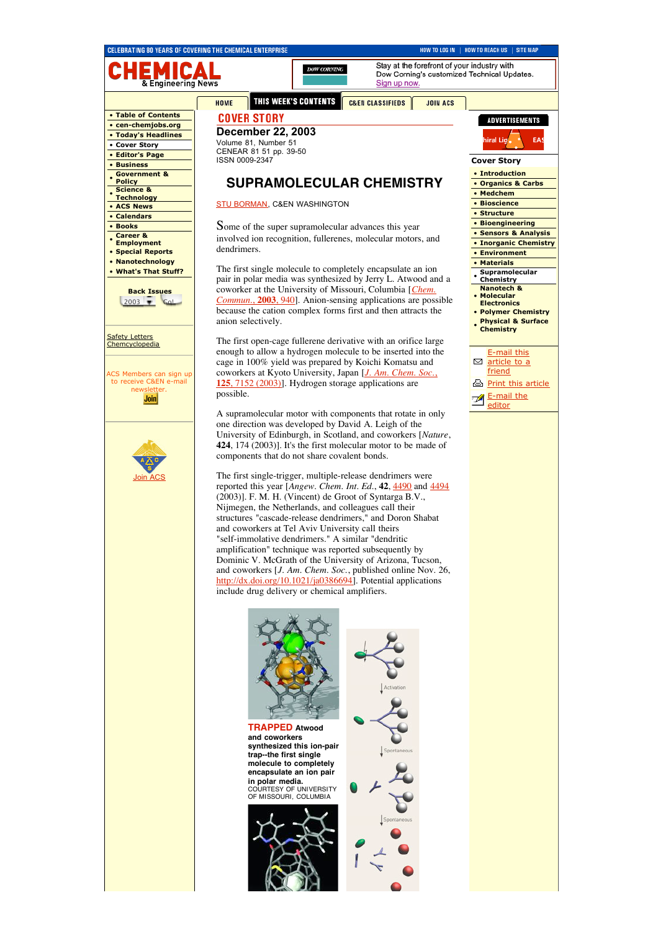